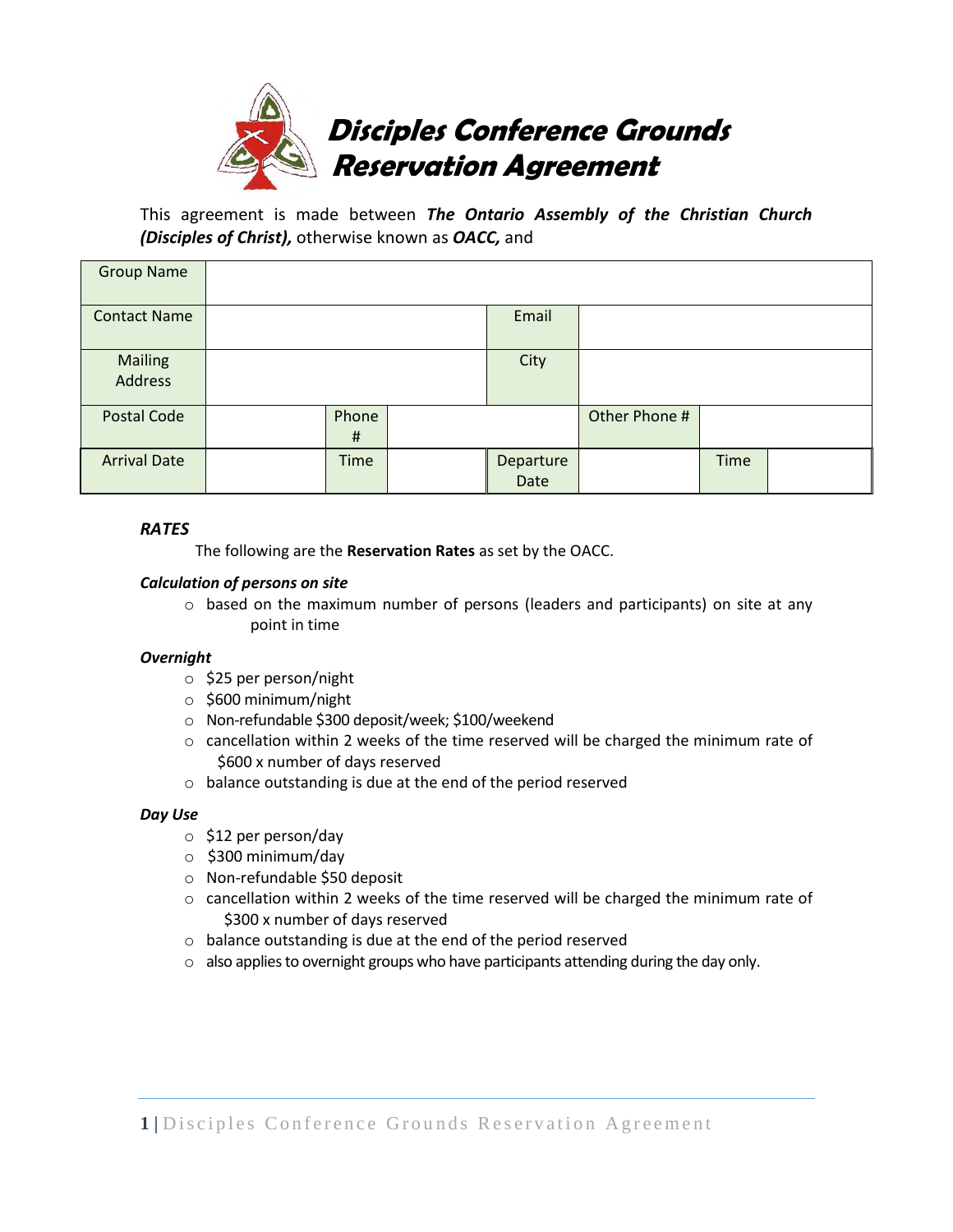

This agreement is made between *The Ontario Assembly of the Christian Church (Disciples of Christ),* otherwise known as *OACC,* and

| <b>Group Name</b>         |                   |                   |               |             |  |
|---------------------------|-------------------|-------------------|---------------|-------------|--|
| <b>Contact Name</b>       |                   | Email             |               |             |  |
| <b>Mailing</b><br>Address |                   | City              |               |             |  |
| Postal Code               | Phone<br>$\sharp$ |                   | Other Phone # |             |  |
| <b>Arrival Date</b>       | <b>Time</b>       | Departure<br>Date |               | <b>Time</b> |  |

# *RATES*

The following are the **Reservation Rates** as set by the OACC.

## *Calculation of persons on site*

 $\circ$  based on the maximum number of persons (leaders and participants) on site at any point in time

## *Overnight*

- o \$25 per person/night
- o \$600 minimum/night
- o Non-refundable \$300 deposit/week; \$100/weekend
- $\circ$  cancellation within 2 weeks of the time reserved will be charged the minimum rate of \$600 x number of days reserved
- o balance outstanding is due at the end of the period reserved

## *Day Use*

- o \$12 per person/day
- o \$300 minimum/day
- o Non-refundable \$50 deposit
- $\circ$  cancellation within 2 weeks of the time reserved will be charged the minimum rate of \$300 x number of days reserved
- o balance outstanding is due at the end of the period reserved
- $\circ$  also applies to overnight groups who have participants attending during the day only.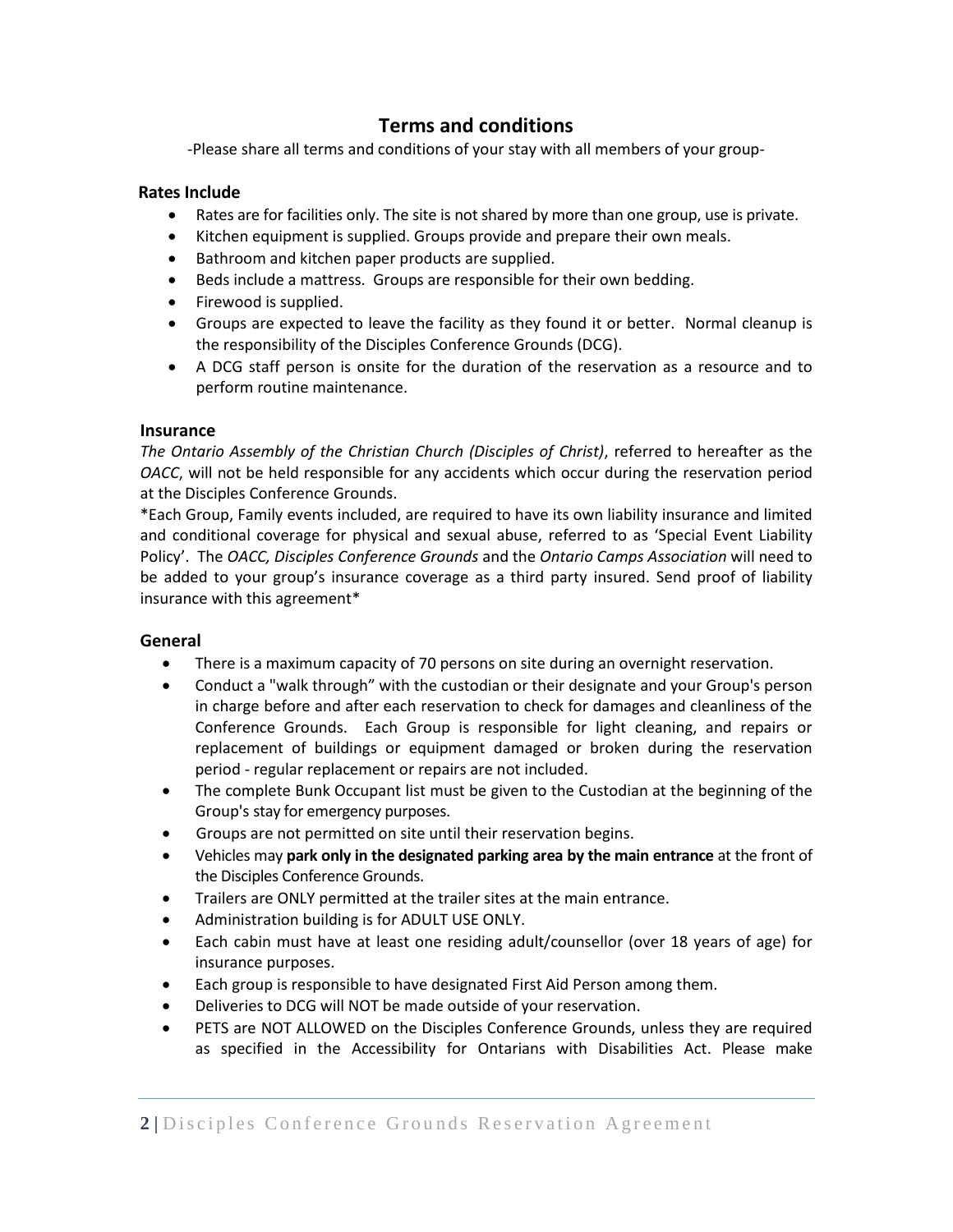# **Terms and conditions**

-Please share all terms and conditions of your stay with all members of your group-

## **Rates Include**

- Rates are for facilities only. The site is not shared by more than one group, use is private.
- Kitchen equipment is supplied. Groups provide and prepare their own meals.
- Bathroom and kitchen paper products are supplied.
- Beds include a mattress. Groups are responsible for their own bedding.
- Firewood is supplied.
- Groups are expected to leave the facility as they found it or better. Normal cleanup is the responsibility of the Disciples Conference Grounds (DCG).
- A DCG staff person is onsite for the duration of the reservation as a resource and to perform routine maintenance.

## **Insurance**

*The Ontario Assembly of the Christian Church (Disciples of Christ)*, referred to hereafter as the *OACC*, will not be held responsible for any accidents which occur during the reservation period at the Disciples Conference Grounds.

\*Each Group, Family events included, are required to have its own liability insurance and limited and conditional coverage for physical and sexual abuse, referred to as 'Special Event Liability Policy'. The *OACC, Disciples Conference Grounds* and the *Ontario Camps Association* will need to be added to your group's insurance coverage as a third party insured. Send proof of liability insurance with this agreement\*

# **General**

- There is a maximum capacity of 70 persons on site during an overnight reservation.
- Conduct a "walk through" with the custodian or their designate and your Group's person in charge before and after each reservation to check for damages and cleanliness of the Conference Grounds. Each Group is responsible for light cleaning, and repairs or replacement of buildings or equipment damaged or broken during the reservation period - regular replacement or repairs are not included.
- The complete Bunk Occupant list must be given to the Custodian at the beginning of the Group's stay for emergency purposes.
- Groups are not permitted on site until their reservation begins.
- Vehicles may **park only in the designated parking area by the main entrance** at the front of the Disciples Conference Grounds.
- Trailers are ONLY permitted at the trailer sites at the main entrance.
- Administration building is for ADULT USE ONLY.
- Each cabin must have at least one residing adult/counsellor (over 18 years of age) for insurance purposes.
- Each group is responsible to have designated First Aid Person among them.
- Deliveries to DCG will NOT be made outside of your reservation.
- PETS are NOT ALLOWED on the Disciples Conference Grounds, unless they are required as specified in the Accessibility for Ontarians with Disabilities Act. Please make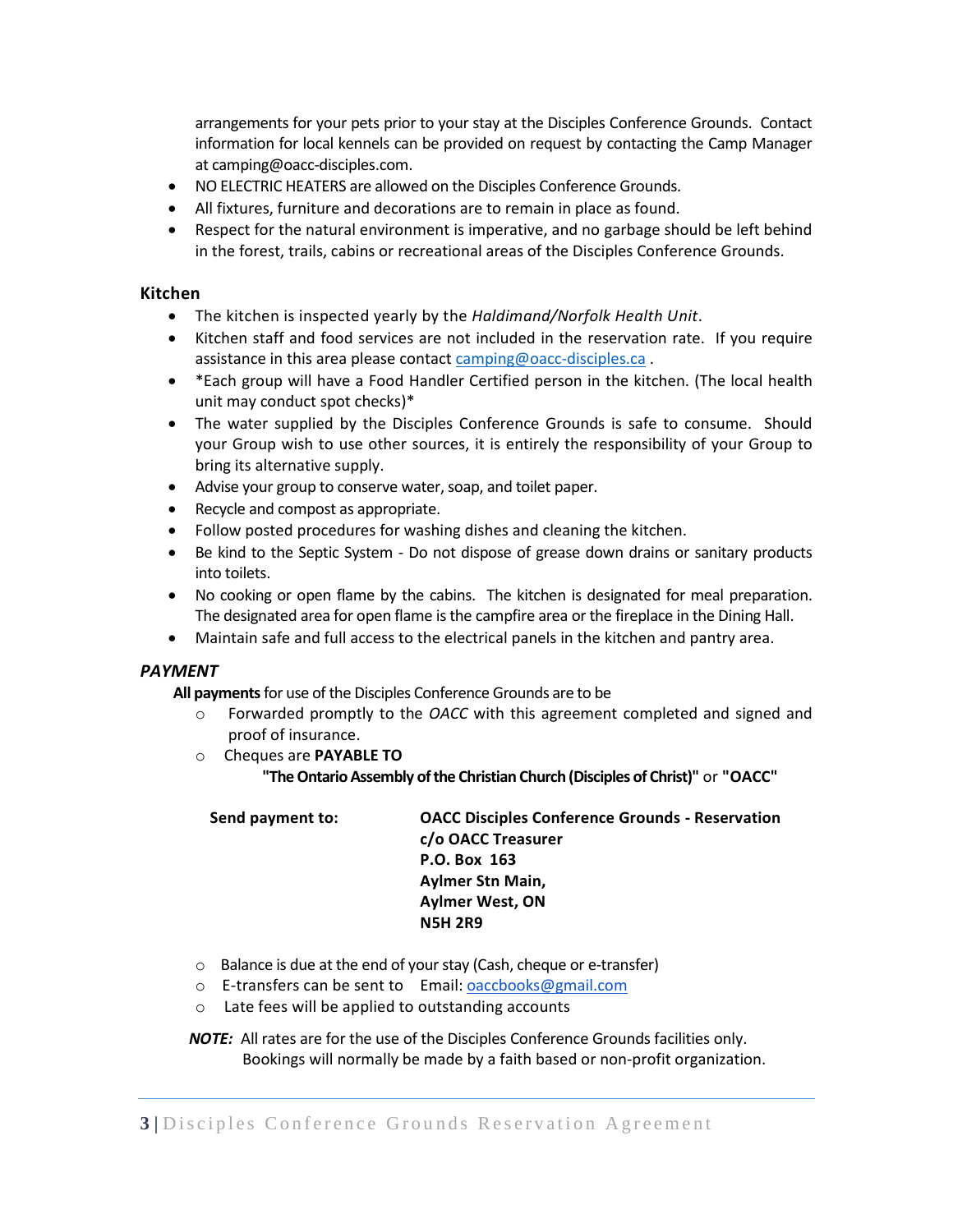arrangements for your pets prior to your stay at the Disciples Conference Grounds. Contact information for local kennels can be provided on request by contacting the Camp Manager at camping@oacc-disciples.com.

- NO ELECTRIC HEATERS are allowed on the Disciples Conference Grounds.
- All fixtures, furniture and decorations are to remain in place as found.
- Respect for the natural environment is imperative, and no garbage should be left behind in the forest, trails, cabins or recreational areas of the Disciples Conference Grounds.

## **Kitchen**

- The kitchen is inspected yearly by the *Haldimand/Norfolk Health Unit*.
- Kitchen staff and food services are not included in the reservation rate. If you require assistance in this area please contac[t camping@oacc-disciples.ca](mailto:camping@oacc-disciples.ca) .
- \*Each group will have a Food Handler Certified person in the kitchen. (The local health unit may conduct spot checks)\*
- The water supplied by the Disciples Conference Grounds is safe to consume. Should your Group wish to use other sources, it is entirely the responsibility of your Group to bring its alternative supply.
- Advise your group to conserve water, soap, and toilet paper.
- Recycle and compost as appropriate.
- Follow posted procedures for washing dishes and cleaning the kitchen.
- Be kind to the Septic System Do not dispose of grease down drains or sanitary products into toilets.
- No cooking or open flame by the cabins. The kitchen is designated for meal preparation. The designated area for open flame is the campfire area or the fireplace in the Dining Hall.
- Maintain safe and full access to the electrical panels in the kitchen and pantry area.

## *PAYMENT*

**All payments**for use of the Disciples Conference Grounds are to be

- o Forwarded promptly to the *OACC* with this agreement completed and signed and proof of insurance.
- o Cheques are **PAYABLE TO**
	- **"The Ontario Assembly of the Christian Church (Disciples of Christ)"** or **"OACC"**

| Send payment to: | <b>OACC Disciples Conference Grounds - Reservation</b> |  |  |
|------------------|--------------------------------------------------------|--|--|
|                  | c/o OACC Treasurer                                     |  |  |
|                  | P.O. Box 163                                           |  |  |
|                  | Aylmer Stn Main,                                       |  |  |
|                  | <b>Aylmer West, ON</b>                                 |  |  |
|                  | <b>N5H 2R9</b>                                         |  |  |

- o Balance is due at the end of your stay (Cash, cheque or e-transfer)
- o E-transfers can be sent to Email: [oaccbooks@gmail.com](mailto:oaccbooks@gmail.com)
- o Late fees will be applied to outstanding accounts

 *NOTE:* All rates are for the use of the Disciples Conference Grounds facilities only. Bookings will normally be made by a faith based or non-profit organization.